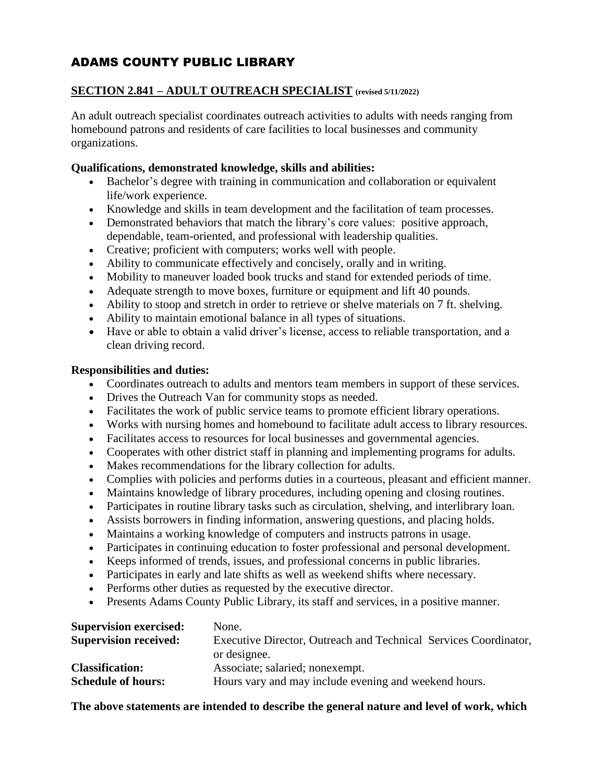# ADAMS COUNTY PUBLIC LIBRARY

# **SECTION 2.841 – ADULT OUTREACH SPECIALIST (revised 5/11/2022)**

An adult outreach specialist coordinates outreach activities to adults with needs ranging from homebound patrons and residents of care facilities to local businesses and community organizations.

#### **Qualifications, demonstrated knowledge, skills and abilities:**

- Bachelor's degree with training in communication and collaboration or equivalent life/work experience.
- Knowledge and skills in team development and the facilitation of team processes.
- Demonstrated behaviors that match the library's core values: positive approach, dependable, team-oriented, and professional with leadership qualities.
- Creative; proficient with computers; works well with people.
- Ability to communicate effectively and concisely, orally and in writing.
- Mobility to maneuver loaded book trucks and stand for extended periods of time.
- Adequate strength to move boxes, furniture or equipment and lift 40 pounds.
- Ability to stoop and stretch in order to retrieve or shelve materials on 7 ft. shelving.
- Ability to maintain emotional balance in all types of situations.
- Have or able to obtain a valid driver's license, access to reliable transportation, and a clean driving record.

## **Responsibilities and duties:**

- Coordinates outreach to adults and mentors team members in support of these services.
- Drives the Outreach Van for community stops as needed.
- Facilitates the work of public service teams to promote efficient library operations.
- Works with nursing homes and homebound to facilitate adult access to library resources.
- Facilitates access to resources for local businesses and governmental agencies.
- Cooperates with other district staff in planning and implementing programs for adults.
- Makes recommendations for the library collection for adults.
- Complies with policies and performs duties in a courteous, pleasant and efficient manner.
- Maintains knowledge of library procedures, including opening and closing routines.
- Participates in routine library tasks such as circulation, shelving, and interlibrary loan.
- Assists borrowers in finding information, answering questions, and placing holds.
- Maintains a working knowledge of computers and instructs patrons in usage.
- Participates in continuing education to foster professional and personal development.
- Keeps informed of trends, issues, and professional concerns in public libraries.
- Participates in early and late shifts as well as weekend shifts where necessary.
- Performs other duties as requested by the executive director.
- Presents Adams County Public Library, its staff and services, in a positive manner.

| <b>Supervision exercised:</b> | None.                                                            |
|-------------------------------|------------------------------------------------------------------|
| <b>Supervision received:</b>  | Executive Director, Outreach and Technical Services Coordinator, |
|                               | or designee.                                                     |
| <b>Classification:</b>        | Associate; salaried; nonexempt.                                  |
| <b>Schedule of hours:</b>     | Hours vary and may include evening and weekend hours.            |

## **The above statements are intended to describe the general nature and level of work, which**